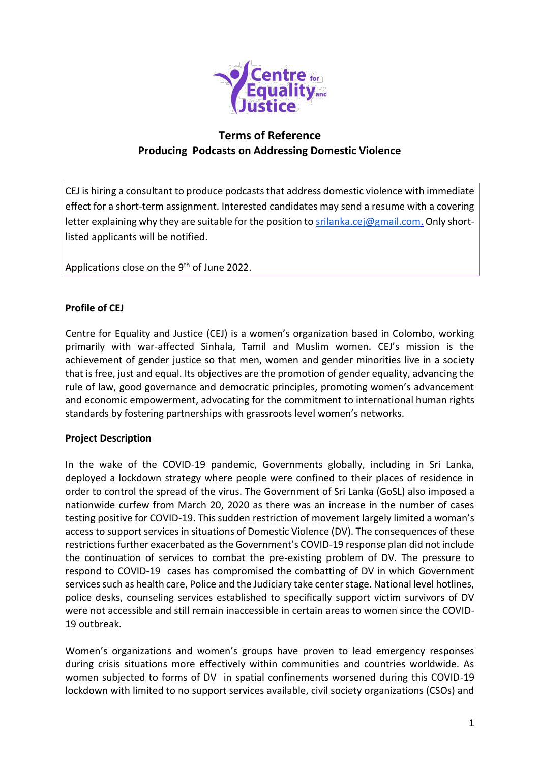

# **Terms of Reference Producing Podcasts on Addressing Domestic Violence**

CEJ is hiring a consultant to produce podcasts that address domestic violence with immediate effect for a short-term assignment. Interested candidates may send a resume with a covering letter explaining why they are suitable for the position to [srilanka.cej@gmail.com.](mailto:srilanka.cej@gmail.com) Only shortlisted applicants will be notified.

Applications close on the 9<sup>th</sup> of June 2022.

#### **Profile of CEJ**

Centre for Equality and Justice (CEJ) is a women's organization based in Colombo, working primarily with war-affected Sinhala, Tamil and Muslim women. CEJ's mission is the achievement of gender justice so that men, women and gender minorities live in a society that is free, just and equal. Its objectives are the promotion of gender equality, advancing the rule of law, good governance and democratic principles, promoting women's advancement and economic empowerment, advocating for the commitment to international human rights standards by fostering partnerships with grassroots level women's networks.

#### **Project Description**

In the wake of the COVID-19 pandemic, Governments globally, including in Sri Lanka, deployed a lockdown strategy where people were confined to their places of residence in order to control the spread of the virus. The Government of Sri Lanka (GoSL) also imposed a nationwide curfew from March 20, 2020 as there was an increase in the number of cases testing positive for COVID-19. This sudden restriction of movement largely limited a woman's access to support services in situations of Domestic Violence (DV). The consequences of these restrictions further exacerbated as the Government's COVID-19 response plan did not include the continuation of services to combat the pre-existing problem of DV. The pressure to respond to COVID-19 cases has compromised the combatting of DV in which Government services such as health care, Police and the Judiciary take center stage. National level hotlines, police desks, counseling services established to specifically support victim survivors of DV were not accessible and still remain inaccessible in certain areas to women since the COVID-19 outbreak.

Women's organizations and women's groups have proven to lead emergency responses during crisis situations more effectively within communities and countries worldwide. As women subjected to forms of DV in spatial confinements worsened during this COVID-19 lockdown with limited to no support services available, civil society organizations (CSOs) and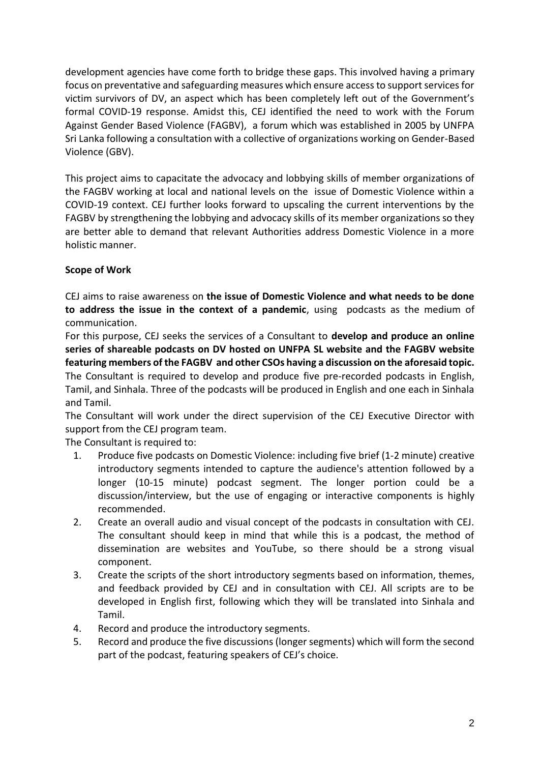development agencies have come forth to bridge these gaps. This involved having a primary focus on preventative and safeguarding measures which ensure access to support services for victim survivors of DV, an aspect which has been completely left out of the Government's formal COVID-19 response. Amidst this, CEJ identified the need to work with the Forum Against Gender Based Violence (FAGBV), a forum which was established in 2005 by UNFPA Sri Lanka following a consultation with a collective of organizations working on Gender-Based Violence (GBV).

This project aims to capacitate the advocacy and lobbying skills of member organizations of the FAGBV working at local and national levels on the issue of Domestic Violence within a COVID-19 context. CEJ further looks forward to upscaling the current interventions by the FAGBV by strengthening the lobbying and advocacy skills of its member organizations so they are better able to demand that relevant Authorities address Domestic Violence in a more holistic manner.

## **Scope of Work**

CEJ aims to raise awareness on **the issue of Domestic Violence and what needs to be done to address the issue in the context of a pandemic**, using podcasts as the medium of communication.

For this purpose, CEJ seeks the services of a Consultant to **develop and produce an online series of shareable podcasts on DV hosted on UNFPA SL website and the FAGBV website featuring members of the FAGBV and other CSOs having a discussion on the aforesaid topic.** The Consultant is required to develop and produce five pre-recorded podcasts in English, Tamil, and Sinhala. Three of the podcasts will be produced in English and one each in Sinhala and Tamil.

The Consultant will work under the direct supervision of the CEJ Executive Director with support from the CEJ program team.

The Consultant is required to:

- 1. Produce five podcasts on Domestic Violence: including five brief (1-2 minute) creative introductory segments intended to capture the audience's attention followed by a longer (10-15 minute) podcast segment. The longer portion could be a discussion/interview, but the use of engaging or interactive components is highly recommended.
- 2. Create an overall audio and visual concept of the podcasts in consultation with CEJ. The consultant should keep in mind that while this is a podcast, the method of dissemination are websites and YouTube, so there should be a strong visual component.
- 3. Create the scripts of the short introductory segments based on information, themes, and feedback provided by CEJ and in consultation with CEJ. All scripts are to be developed in English first, following which they will be translated into Sinhala and Tamil.
- 4. Record and produce the introductory segments.
- 5. Record and produce the five discussions(longer segments) which will form the second part of the podcast, featuring speakers of CEJ's choice.